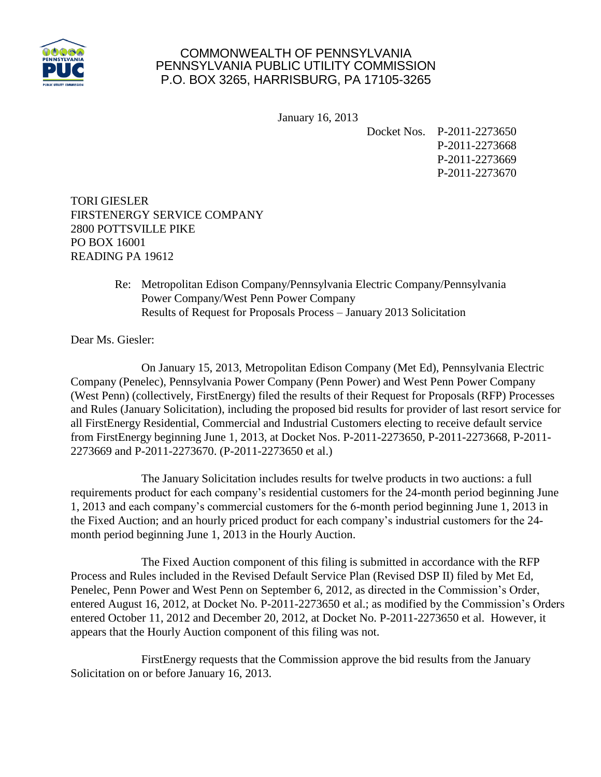

## COMMONWEALTH OF PENNSYLVANIA PENNSYLVANIA PUBLIC UTILITY COMMISSION P.O. BOX 3265, HARRISBURG, PA 17105-3265

January 16, 2013

Docket Nos. P-2011-2273650 P-2011-2273668 P-2011-2273669 P-2011-2273670

TORI GIESLER FIRSTENERGY SERVICE COMPANY 2800 POTTSVILLE PIKE PO BOX 16001 READING PA 19612

> Re: Metropolitan Edison Company/Pennsylvania Electric Company/Pennsylvania Power Company/West Penn Power Company Results of Request for Proposals Process – January 2013 Solicitation

Dear Ms. Giesler:

On January 15, 2013, Metropolitan Edison Company (Met Ed), Pennsylvania Electric Company (Penelec), Pennsylvania Power Company (Penn Power) and West Penn Power Company (West Penn) (collectively, FirstEnergy) filed the results of their Request for Proposals (RFP) Processes and Rules (January Solicitation), including the proposed bid results for provider of last resort service for all FirstEnergy Residential, Commercial and Industrial Customers electing to receive default service from FirstEnergy beginning June 1, 2013, at Docket Nos. P-2011-2273650, P-2011-2273668, P-2011- 2273669 and P-2011-2273670. (P-2011-2273650 et al.)

The January Solicitation includes results for twelve products in two auctions: a full requirements product for each company's residential customers for the 24-month period beginning June 1, 2013 and each company's commercial customers for the 6-month period beginning June 1, 2013 in the Fixed Auction; and an hourly priced product for each company's industrial customers for the 24 month period beginning June 1, 2013 in the Hourly Auction.

The Fixed Auction component of this filing is submitted in accordance with the RFP Process and Rules included in the Revised Default Service Plan (Revised DSP II) filed by Met Ed, Penelec, Penn Power and West Penn on September 6, 2012, as directed in the Commission's Order, entered August 16, 2012, at Docket No. P-2011-2273650 et al.; as modified by the Commission's Orders entered October 11, 2012 and December 20, 2012, at Docket No. P-2011-2273650 et al. However, it appears that the Hourly Auction component of this filing was not.

FirstEnergy requests that the Commission approve the bid results from the January Solicitation on or before January 16, 2013.